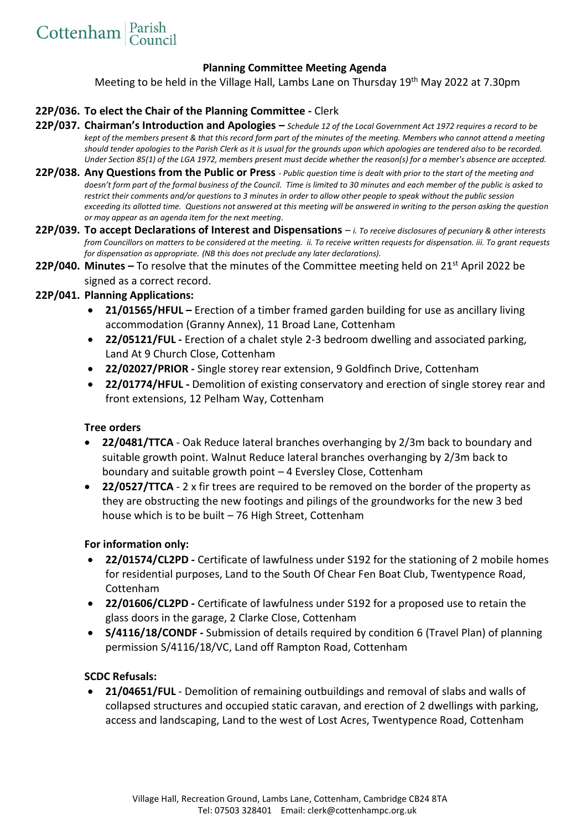## **Planning Committee Meeting Agenda**

Meeting to be held in the Village Hall, Lambs Lane on Thursday 19<sup>th</sup> May 2022 at 7.30pm

## **22P/036. To elect the Chair of the Planning Committee -** Clerk

- **22P/037. Chairman's Introduction and Apologies –** *Schedule 12 of the Local Government Act 1972 requires a record to be kept of the members present & that this record form part of the minutes of the meeting. Members who cannot attend a meeting should tender apologies to the Parish Clerk as it is usual for the grounds upon which apologies are tendered also to be recorded. Under Section 85(1) of the LGA 1972, members present must decide whether the reason(s) for a member's absence are accepted.*
- **22P/038. Any Questions from the Public or Press** *- Public question time is dealt with prior to the start of the meeting and*  doesn't form part of the formal business of the Council. Time is limited to 30 minutes and each member of the public is asked to *restrict their comments and/or questions to 3 minutes in order to allow other people to speak without the public session exceeding its allotted time. Questions not answered at this meeting will be answered in writing to the person asking the question or may appear as an agenda item for the next meeting*.
- **22P/039. To accept Declarations of Interest and Dispensations**  *i. To receive disclosures of pecuniary & other interests from Councillors on matters to be considered at the meeting. ii. To receive written requests for dispensation. iii. To grant requests for dispensation as appropriate. (NB this does not preclude any later declarations).*
- **22P/040. Minutes –** To resolve that the minutes of the Committee meeting held on 21st April 2022 be signed as a correct record.

## **22P/041. Planning Applications:**

- **21/01565/HFUL –** Erection of a timber framed garden building for use as ancillary living accommodation (Granny Annex), 11 Broad Lane, Cottenham
- **22/05121/FUL -** Erection of a chalet style 2-3 bedroom dwelling and associated parking, Land At 9 Church Close, Cottenham
- **22/02027/PRIOR -** Single storey rear extension, 9 Goldfinch Drive, Cottenham
- **22/01774/HFUL -** Demolition of existing conservatory and erection of single storey rear and front extensions, 12 Pelham Way, Cottenham

#### **Tree orders**

- **22/0481/TTCA** Oak Reduce lateral branches overhanging by 2/3m back to boundary and suitable growth point. Walnut Reduce lateral branches overhanging by 2/3m back to boundary and suitable growth point – 4 Eversley Close, Cottenham
- **22/0527/TTCA**  2 x fir trees are required to be removed on the border of the property as they are obstructing the new footings and pilings of the groundworks for the new 3 bed house which is to be built – 76 High Street, Cottenham

#### **For information only:**

- **22/01574/CL2PD -** Certificate of lawfulness under S192 for the stationing of 2 mobile homes for residential purposes, Land to the South Of Chear Fen Boat Club, Twentypence Road, Cottenham
- **22/01606/CL2PD -** Certificate of lawfulness under S192 for a proposed use to retain the glass doors in the garage, 2 Clarke Close, Cottenham
- **S/4116/18/CONDF -** Submission of details required by condition 6 (Travel Plan) of planning permission S/4116/18/VC, Land off Rampton Road, Cottenham

## **SCDC Refusals:**

• **21/04651/FUL** - Demolition of remaining outbuildings and removal of slabs and walls of collapsed structures and occupied static caravan, and erection of 2 dwellings with parking, access and landscaping, Land to the west of Lost Acres, Twentypence Road, Cottenham